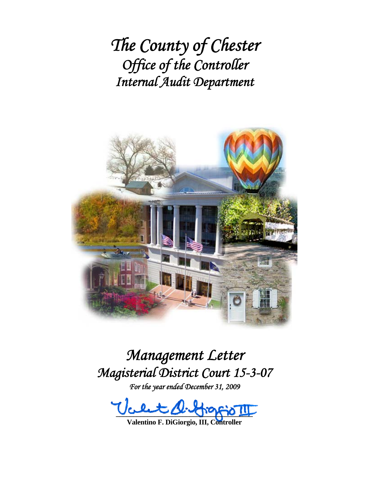*The County of Chester Office of the Controller Internal Audit Department*



# *Management Letter Magisterial District Court 15-3-07*

*For the year ended December 31, 2009* 

 $\mathbb{E}$ 

**Valentino F. DiGiorgio, III, Controller**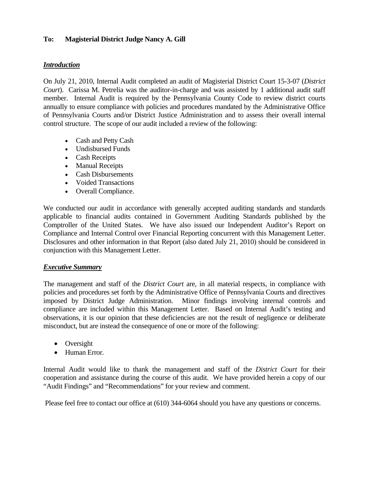#### **To: Magisterial District Judge Nancy A. Gill**

#### *Introduction*

On July 21, 2010, Internal Audit completed an audit of Magisterial District Court 15-3-07 (*District Court*). Carissa M. Petrelia was the auditor-in-charge and was assisted by 1 additional audit staff member. Internal Audit is required by the Pennsylvania County Code to review district courts annually to ensure compliance with policies and procedures mandated by the Administrative Office of Pennsylvania Courts and/or District Justice Administration and to assess their overall internal control structure. The scope of our audit included a review of the following:

- Cash and Petty Cash
- Undisbursed Funds
- Cash Receipts
- Manual Receipts
- Cash Disbursements
- Voided Transactions
- Overall Compliance.

We conducted our audit in accordance with generally accepted auditing standards and standards applicable to financial audits contained in Government Auditing Standards published by the Comptroller of the United States. We have also issued our Independent Auditor's Report on Compliance and Internal Control over Financial Reporting concurrent with this Management Letter. Disclosures and other information in that Report (also dated July 21, 2010) should be considered in conjunction with this Management Letter.

#### *Executive Summary*

The management and staff of the *District Court* are, in all material respects, in compliance with policies and procedures set forth by the Administrative Office of Pennsylvania Courts and directives imposed by District Judge Administration. Minor findings involving internal controls and compliance are included within this Management Letter. Based on Internal Audit's testing and observations, it is our opinion that these deficiencies are not the result of negligence or deliberate misconduct, but are instead the consequence of one or more of the following:

- Oversight
- Human Error.

Internal Audit would like to thank the management and staff of the *District Court* for their cooperation and assistance during the course of this audit. We have provided herein a copy of our "Audit Findings" and "Recommendations" for your review and comment.

Please feel free to contact our office at (610) 344-6064 should you have any questions or concerns.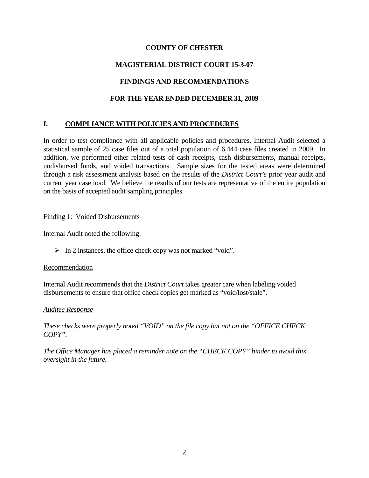## **COUNTY OF CHESTER**

# **MAGISTERIAL DISTRICT COURT 15-3-07**

## **FINDINGS AND RECOMMENDATIONS**

## **FOR THE YEAR ENDED DECEMBER 31, 2009**

## **I. COMPLIANCE WITH POLICIES AND PROCEDURES**

In order to test compliance with all applicable policies and procedures, Internal Audit selected a statistical sample of 25 case files out of a total population of 6,444 case files created in 2009. In addition, we performed other related tests of cash receipts, cash disbursements, manual receipts, undisbursed funds, and voided transactions. Sample sizes for the tested areas were determined through a risk assessment analysis based on the results of the *District Court's* prior year audit and current year case load. We believe the results of our tests are representative of the entire population on the basis of accepted audit sampling principles.

#### Finding 1: Voided Disbursements

Internal Audit noted the following:

 $\triangleright$  In 2 instances, the office check copy was not marked "void".

### Recommendation

Internal Audit recommends that the *District Court* takes greater care when labeling voided disbursements to ensure that office check copies get marked as "void/lost/stale".

#### *Auditee Response*

*These checks were properly noted "VOID" on the file copy but not on the "OFFICE CHECK COPY".* 

*The Office Manager has placed a reminder note on the "CHECK COPY" binder to avoid this oversight in the future.*